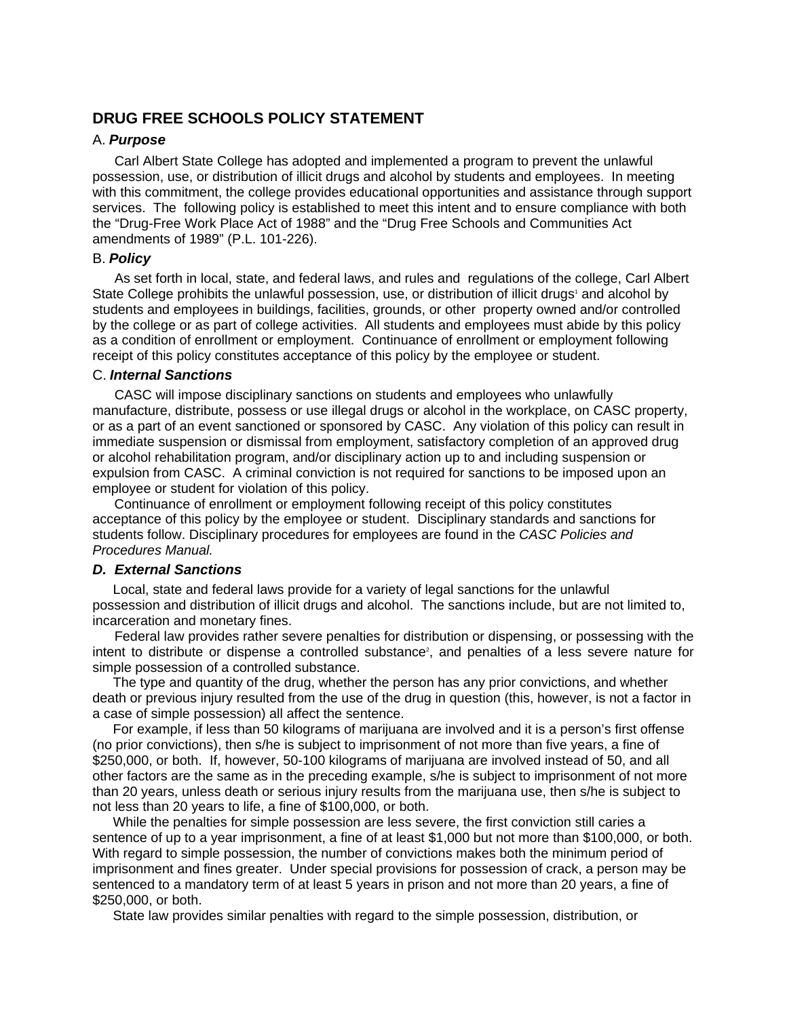## **DRUG FREE SCHOOLS POLICY STATEMENT**

## A. *Purpose*

Carl Albert State College has adopted and implemented a program to prevent the unlawful possession, use, or distribution of illicit drugs and alcohol by students and employees. In meeting with this commitment, the college provides educational opportunities and assistance through support services. The following policy is established to meet this intent and to ensure compliance with both the "Drug-Free Work Place Act of 1988" and the "Drug Free Schools and Communities Act amendments of 1989" (P.L. 101-226).

#### B. *Policy*

As set forth in local, state, and federal laws, and rules and regulations of the college, Carl Albert State College prohibits the unlawful possession, use, or distribution of illicit drugs<sup>1</sup> and alcohol by students and employees in buildings, facilities, grounds, or other property owned and/or controlled by the college or as part of college activities. All students and employees must abide by this policy as a condition of enrollment or employment. Continuance of enrollment or employment following receipt of this policy constitutes acceptance of this policy by the employee or student.

#### C. *Internal Sanctions*

CASC will impose disciplinary sanctions on students and employees who unlawfully manufacture, distribute, possess or use illegal drugs or alcohol in the workplace, on CASC property, or as a part of an event sanctioned or sponsored by CASC. Any violation of this policy can result in immediate suspension or dismissal from employment, satisfactory completion of an approved drug or alcohol rehabilitation program, and/or disciplinary action up to and including suspension or expulsion from CASC. A criminal conviction is not required for sanctions to be imposed upon an employee or student for violation of this policy.

Continuance of enrollment or employment following receipt of this policy constitutes acceptance of this policy by the employee or student. Disciplinary standards and sanctions for students follow. Disciplinary procedures for employees are found in the *CASC Policies and Procedures Manual.* 

#### *D. External Sanctions*

Local, state and federal laws provide for a variety of legal sanctions for the unlawful possession and distribution of illicit drugs and alcohol. The sanctions include, but are not limited to, incarceration and monetary fines.

Federal law provides rather severe penalties for distribution or dispensing, or possessing with the intent to distribute or dispense a controlled substance<sup>2</sup>, and penalties of a less severe nature for simple possession of a controlled substance.

The type and quantity of the drug, whether the person has any prior convictions, and whether death or previous injury resulted from the use of the drug in question (this, however, is not a factor in a case of simple possession) all affect the sentence.

For example, if less than 50 kilograms of marijuana are involved and it is a person's first offense (no prior convictions), then s/he is subject to imprisonment of not more than five years, a fine of \$250,000, or both. If, however, 50-100 kilograms of marijuana are involved instead of 50, and all other factors are the same as in the preceding example, s/he is subject to imprisonment of not more than 20 years, unless death or serious injury results from the marijuana use, then s/he is subject to not less than 20 years to life, a fine of \$100,000, or both.

While the penalties for simple possession are less severe, the first conviction still caries a sentence of up to a year imprisonment, a fine of at least \$1,000 but not more than \$100,000, or both. With regard to simple possession, the number of convictions makes both the minimum period of imprisonment and fines greater. Under special provisions for possession of crack, a person may be sentenced to a mandatory term of at least 5 years in prison and not more than 20 years, a fine of \$250,000, or both.

State law provides similar penalties with regard to the simple possession, distribution, or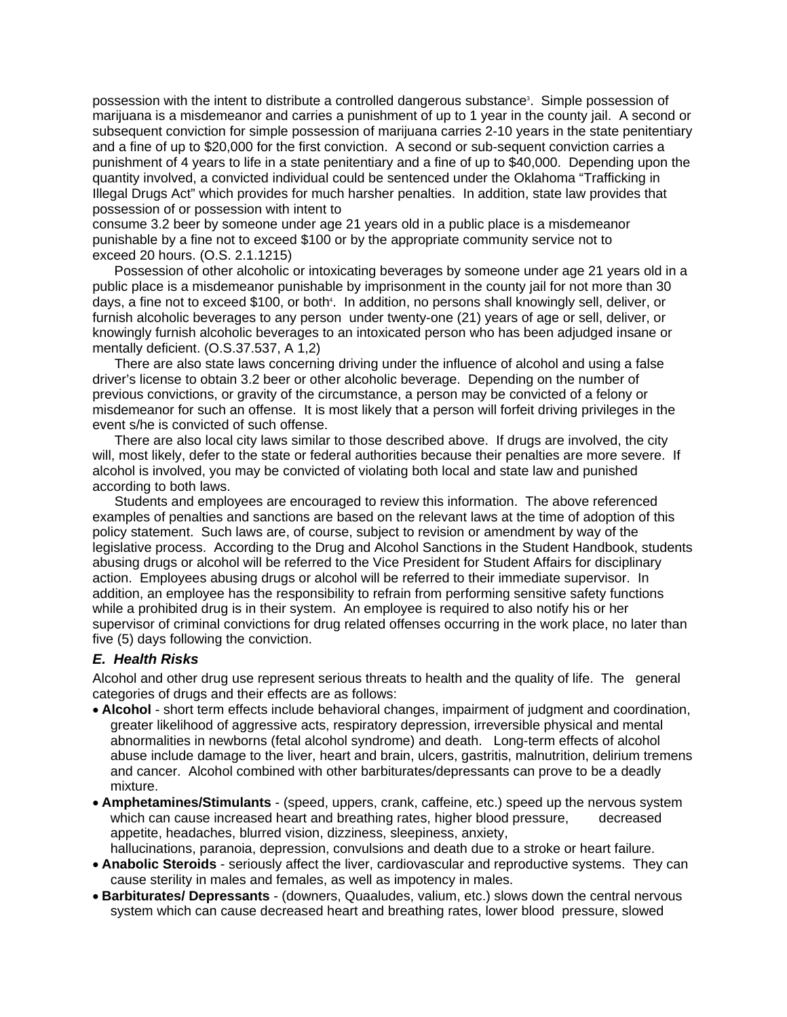possession with the intent to distribute a controlled dangerous substance<sup>3</sup>. Simple possession of marijuana is a misdemeanor and carries a punishment of up to 1 year in the county jail. A second or subsequent conviction for simple possession of marijuana carries 2-10 years in the state penitentiary and a fine of up to \$20,000 for the first conviction. A second or sub-sequent conviction carries a punishment of 4 years to life in a state penitentiary and a fine of up to \$40,000. Depending upon the quantity involved, a convicted individual could be sentenced under the Oklahoma "Trafficking in Illegal Drugs Act" which provides for much harsher penalties. In addition, state law provides that possession of or possession with intent to

consume 3.2 beer by someone under age 21 years old in a public place is a misdemeanor punishable by a fine not to exceed \$100 or by the appropriate community service not to exceed 20 hours. (O.S. 2.1.1215)

Possession of other alcoholic or intoxicating beverages by someone under age 21 years old in a public place is a misdemeanor punishable by imprisonment in the county jail for not more than 30 days, a fine not to exceed \$100, or both<sup>4</sup>. In addition, no persons shall knowingly sell, deliver, or furnish alcoholic beverages to any person under twenty-one (21) years of age or sell, deliver, or knowingly furnish alcoholic beverages to an intoxicated person who has been adjudged insane or mentally deficient. (O.S.37.537, A 1,2)

There are also state laws concerning driving under the influence of alcohol and using a false driver's license to obtain 3.2 beer or other alcoholic beverage. Depending on the number of previous convictions, or gravity of the circumstance, a person may be convicted of a felony or misdemeanor for such an offense. It is most likely that a person will forfeit driving privileges in the event s/he is convicted of such offense.

There are also local city laws similar to those described above. If drugs are involved, the city will, most likely, defer to the state or federal authorities because their penalties are more severe. If alcohol is involved, you may be convicted of violating both local and state law and punished according to both laws.

Students and employees are encouraged to review this information. The above referenced examples of penalties and sanctions are based on the relevant laws at the time of adoption of this policy statement. Such laws are, of course, subject to revision or amendment by way of the legislative process. According to the Drug and Alcohol Sanctions in the Student Handbook, students abusing drugs or alcohol will be referred to the Vice President for Student Affairs for disciplinary action. Employees abusing drugs or alcohol will be referred to their immediate supervisor. In addition, an employee has the responsibility to refrain from performing sensitive safety functions while a prohibited drug is in their system. An employee is required to also notify his or her supervisor of criminal convictions for drug related offenses occurring in the work place, no later than five (5) days following the conviction.

### *E. Health Risks*

Alcohol and other drug use represent serious threats to health and the quality of life. The general categories of drugs and their effects are as follows:

- **Alcohol** short term effects include behavioral changes, impairment of judgment and coordination, greater likelihood of aggressive acts, respiratory depression, irreversible physical and mental abnormalities in newborns (fetal alcohol syndrome) and death. Long-term effects of alcohol abuse include damage to the liver, heart and brain, ulcers, gastritis, malnutrition, delirium tremens and cancer. Alcohol combined with other barbiturates/depressants can prove to be a deadly mixture.
- **Amphetamines/Stimulants** (speed, uppers, crank, caffeine, etc.) speed up the nervous system which can cause increased heart and breathing rates, higher blood pressure, decreased appetite, headaches, blurred vision, dizziness, sleepiness, anxiety, hallucinations, paranoia, depression, convulsions and death due to a stroke or heart failure.
- **Anabolic Steroids** seriously affect the liver, cardiovascular and reproductive systems. They can cause sterility in males and females, as well as impotency in males.
- **Barbiturates/ Depressants** (downers, Quaaludes, valium, etc.) slows down the central nervous system which can cause decreased heart and breathing rates, lower blood pressure, slowed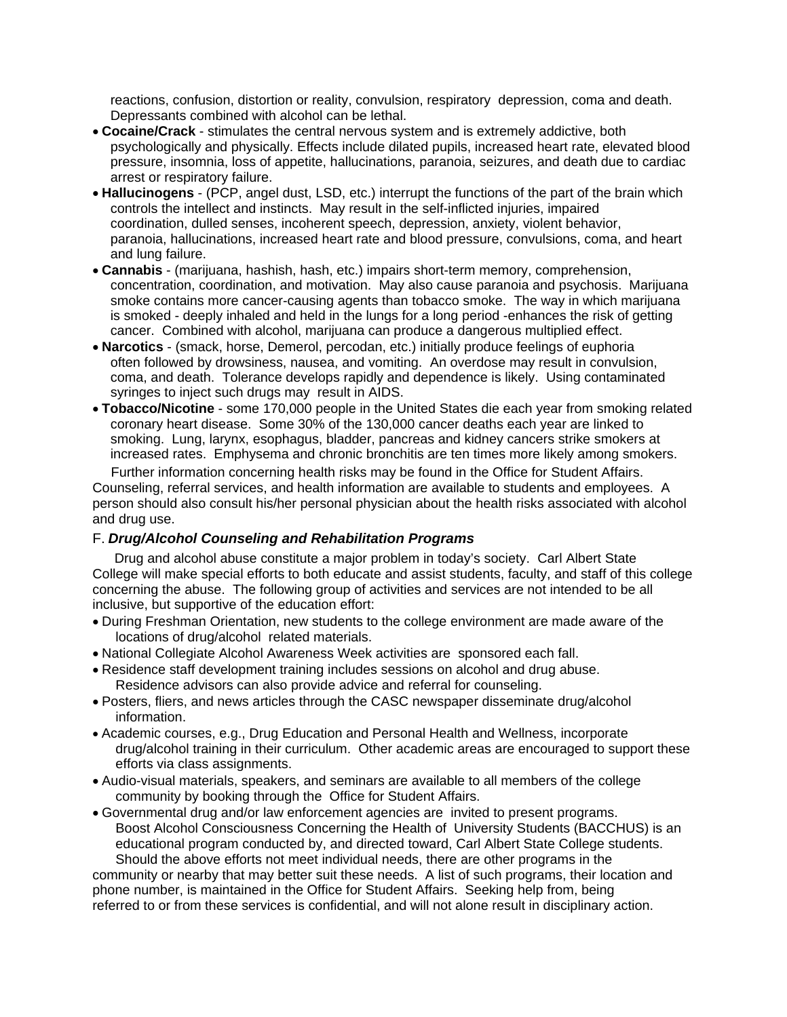reactions, confusion, distortion or reality, convulsion, respiratory depression, coma and death. Depressants combined with alcohol can be lethal.

- **Cocaine/Crack** stimulates the central nervous system and is extremely addictive, both psychologically and physically. Effects include dilated pupils, increased heart rate, elevated blood pressure, insomnia, loss of appetite, hallucinations, paranoia, seizures, and death due to cardiac arrest or respiratory failure.
- **Hallucinogens** (PCP, angel dust, LSD, etc.) interrupt the functions of the part of the brain which controls the intellect and instincts. May result in the self-inflicted injuries, impaired coordination, dulled senses, incoherent speech, depression, anxiety, violent behavior, paranoia, hallucinations, increased heart rate and blood pressure, convulsions, coma, and heart and lung failure.
- **Cannabis** (marijuana, hashish, hash, etc.) impairs short-term memory, comprehension, concentration, coordination, and motivation. May also cause paranoia and psychosis. Marijuana smoke contains more cancer-causing agents than tobacco smoke. The way in which marijuana is smoked - deeply inhaled and held in the lungs for a long period -enhances the risk of getting cancer. Combined with alcohol, marijuana can produce a dangerous multiplied effect.
- **Narcotics**  (smack, horse, Demerol, percodan, etc.) initially produce feelings of euphoria often followed by drowsiness, nausea, and vomiting. An overdose may result in convulsion, coma, and death. Tolerance develops rapidly and dependence is likely. Using contaminated syringes to inject such drugs may result in AIDS.
- **Tobacco/Nicotine** some 170,000 people in the United States die each year from smoking related coronary heart disease. Some 30% of the 130,000 cancer deaths each year are linked to smoking. Lung, larynx, esophagus, bladder, pancreas and kidney cancers strike smokers at increased rates. Emphysema and chronic bronchitis are ten times more likely among smokers.

Further information concerning health risks may be found in the Office for Student Affairs. Counseling, referral services, and health information are available to students and employees. A person should also consult his/her personal physician about the health risks associated with alcohol and drug use.

# F. *Drug/Alcohol Counseling and Rehabilitation Programs*

Drug and alcohol abuse constitute a major problem in today's society. Carl Albert State College will make special efforts to both educate and assist students, faculty, and staff of this college concerning the abuse. The following group of activities and services are not intended to be all inclusive, but supportive of the education effort:

- During Freshman Orientation, new students to the college environment are made aware of the locations of drug/alcohol related materials.
- National Collegiate Alcohol Awareness Week activities are sponsored each fall.
- Residence staff development training includes sessions on alcohol and drug abuse. Residence advisors can also provide advice and referral for counseling.
- Posters, fliers, and news articles through the CASC newspaper disseminate drug/alcohol information.
- Academic courses, e.g., Drug Education and Personal Health and Wellness, incorporate drug/alcohol training in their curriculum. Other academic areas are encouraged to support these efforts via class assignments.
- Audio-visual materials, speakers, and seminars are available to all members of the college community by booking through the Office for Student Affairs.
- Governmental drug and/or law enforcement agencies are invited to present programs. Boost Alcohol Consciousness Concerning the Health of University Students (BACCHUS) is an educational program conducted by, and directed toward, Carl Albert State College students. Should the above efforts not meet individual needs, there are other programs in the

community or nearby that may better suit these needs. A list of such programs, their location and phone number, is maintained in the Office for Student Affairs. Seeking help from, being referred to or from these services is confidential, and will not alone result in disciplinary action.